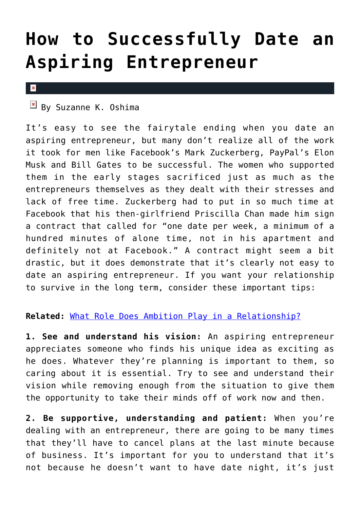## **[How to Successfully Date an](https://cupidspulse.com/33845/date-aspiring-entrepreneur/) [Aspiring Entrepreneur](https://cupidspulse.com/33845/date-aspiring-entrepreneur/)**

## $\pmb{\times}$

 $\boxed{\times}$  By Suzanne K. Oshima

It's easy to see the fairytale ending when you date an aspiring entrepreneur, but many don't realize all of the work it took for men like Facebook's Mark Zuckerberg, PayPal's Elon Musk and Bill Gates to be successful. The women who supported them in the early stages sacrificed just as much as the entrepreneurs themselves as they dealt with their stresses and lack of free time. Zuckerberg had to put in so much time at Facebook that his then-girlfriend Priscilla Chan made him sign a contract that called for "one date per week, a minimum of a hundred minutes of alone time, not in his apartment and definitely not at Facebook." A contract might seem a bit drastic, but it does demonstrate that it's clearly not easy to date an aspiring entrepreneur. If you want your relationship to survive in the long term, consider these important tips:

## **Related:** [What Role Does Ambition Play in a Relationship?](http://cupidspulse.com/what-role-does-ambition-play-in-a-relationship/)

**1. See and understand his vision:** An aspiring entrepreneur appreciates someone who finds his unique idea as exciting as he does. Whatever they're planning is important to them, so caring about it is essential. Try to see and understand their vision while removing enough from the situation to give them the opportunity to take their minds off of work now and then.

**2. Be supportive, understanding and patient:** When you're dealing with an entrepreneur, there are going to be many times that they'll have to cancel plans at the last minute because of business. It's important for you to understand that it's not because he doesn't want to have date night, it's just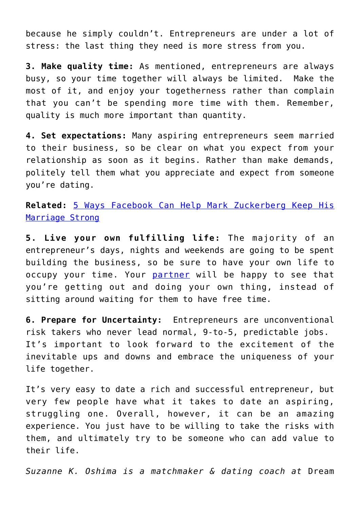because he simply couldn't. Entrepreneurs are under a lot of stress: the last thing they need is more stress from you.

**3. Make quality time:** As mentioned, entrepreneurs are always busy, so your time together will always be limited. Make the most of it, and enjoy your togetherness rather than complain that you can't be spending more time with them. Remember, quality is much more important than quantity.

**4. Set expectations:** Many aspiring entrepreneurs seem married to their business, so be clear on what you expect from your relationship as soon as it begins. Rather than make demands, politely tell them what you appreciate and expect from someone you're dating.

**Related:** [5 Ways Facebook Can Help Mark Zuckerberg Keep His](http://cupidspulse.com/mark-zuckerberg-marriage-advice-facebook/) [Marriage Strong](http://cupidspulse.com/mark-zuckerberg-marriage-advice-facebook/)

**5. Live your own fulfilling life:** The majority of an entrepreneur's days, nights and weekends are going to be spent building the business, so be sure to have your own life to occupy your time. Your [partner](http://cupidspulse.com/five-signs-partner-using-you-money/) will be happy to see that you're getting out and doing your own thing, instead of sitting around waiting for them to have free time.

**6. Prepare for Uncertainty:** Entrepreneurs are unconventional risk takers who never lead normal, 9-to-5, predictable jobs. It's important to look forward to the excitement of the inevitable ups and downs and embrace the uniqueness of your life together.

It's very easy to date a rich and successful entrepreneur, but very few people have what it takes to date an aspiring, struggling one. Overall, however, it can be an amazing experience. You just have to be willing to take the risks with them, and ultimately try to be someone who can add value to their life.

*Suzanne K. Oshima is a matchmaker & dating coach at* Dream